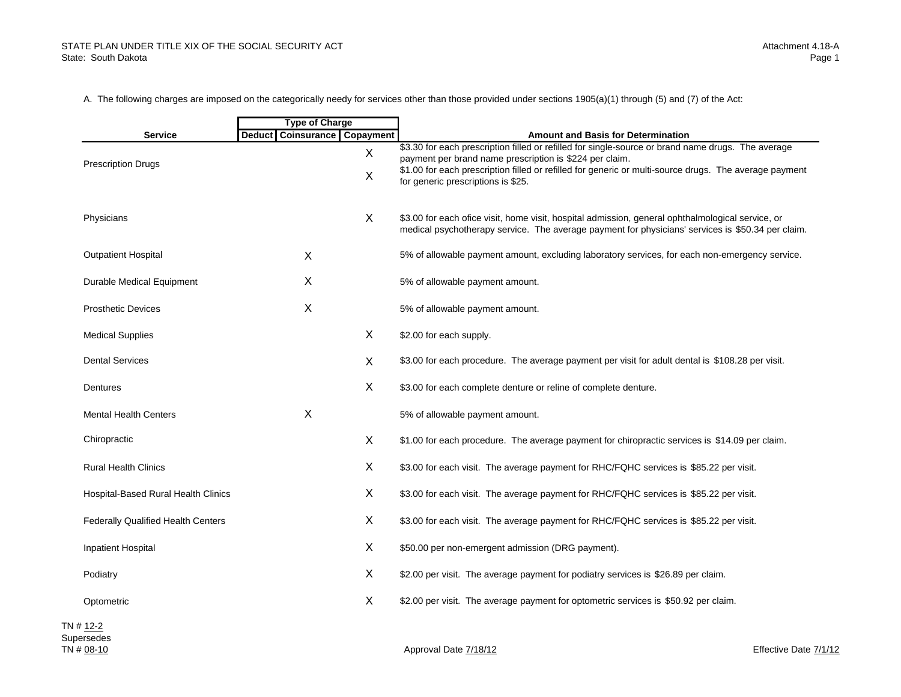#### STATE PLAN UNDER TITLE XIX OF THE SOCIAL SECURITY ACTState: South Dakota

A. The following charges are imposed on the categorically needy for services other than those provided under sections 1905(a)(1) through (5) and (7) of the Act:

|                                           | <b>Type of Charge</b>                         |                                                                                                                                                                                                                                                                                                               |
|-------------------------------------------|-----------------------------------------------|---------------------------------------------------------------------------------------------------------------------------------------------------------------------------------------------------------------------------------------------------------------------------------------------------------------|
| <b>Service</b>                            | <b>Coinsurance Copayment</b><br><b>Deduct</b> | <b>Amount and Basis for Determination</b>                                                                                                                                                                                                                                                                     |
| <b>Prescription Drugs</b>                 | X<br>$\boldsymbol{\mathsf{X}}$                | \$3.30 for each prescription filled or refilled for single-source or brand name drugs. The average<br>payment per brand name prescription is \$224 per claim.<br>\$1.00 for each prescription filled or refilled for generic or multi-source drugs. The average payment<br>for generic prescriptions is \$25. |
| Physicians                                | $\sf X$                                       | \$3.00 for each ofice visit, home visit, hospital admission, general ophthalmological service, or<br>medical psychotherapy service. The average payment for physicians' services is \$50.34 per claim.                                                                                                        |
| <b>Outpatient Hospital</b>                | X                                             | 5% of allowable payment amount, excluding laboratory services, for each non-emergency service.                                                                                                                                                                                                                |
| Durable Medical Equipment                 | X                                             | 5% of allowable payment amount.                                                                                                                                                                                                                                                                               |
| <b>Prosthetic Devices</b>                 | X                                             | 5% of allowable payment amount.                                                                                                                                                                                                                                                                               |
| <b>Medical Supplies</b>                   | X                                             | \$2.00 for each supply.                                                                                                                                                                                                                                                                                       |
| <b>Dental Services</b>                    | X                                             | \$3.00 for each procedure. The average payment per visit for adult dental is \$108.28 per visit.                                                                                                                                                                                                              |
| Dentures                                  | X                                             | \$3.00 for each complete denture or reline of complete denture.                                                                                                                                                                                                                                               |
| <b>Mental Health Centers</b>              | X                                             | 5% of allowable payment amount.                                                                                                                                                                                                                                                                               |
| Chiropractic                              | X                                             | \$1.00 for each procedure. The average payment for chiropractic services is \$14.09 per claim.                                                                                                                                                                                                                |
| Rural Health Clinics                      | X                                             | \$3.00 for each visit. The average payment for RHC/FQHC services is \$85.22 per visit.                                                                                                                                                                                                                        |
| Hospital-Based Rural Health Clinics       | X                                             | \$3.00 for each visit. The average payment for RHC/FQHC services is \$85.22 per visit.                                                                                                                                                                                                                        |
| <b>Federally Qualified Health Centers</b> | X                                             | \$3.00 for each visit. The average payment for RHC/FQHC services is \$85.22 per visit.                                                                                                                                                                                                                        |
| <b>Inpatient Hospital</b>                 | X                                             | \$50.00 per non-emergent admission (DRG payment).                                                                                                                                                                                                                                                             |
| Podiatry                                  | X                                             | \$2.00 per visit. The average payment for podiatry services is \$26.89 per claim.                                                                                                                                                                                                                             |
| Optometric                                | X                                             | \$2.00 per visit. The average payment for optometric services is \$50.92 per claim.                                                                                                                                                                                                                           |
| # <u>12-2</u><br>ersedes                  |                                               |                                                                                                                                                                                                                                                                                                               |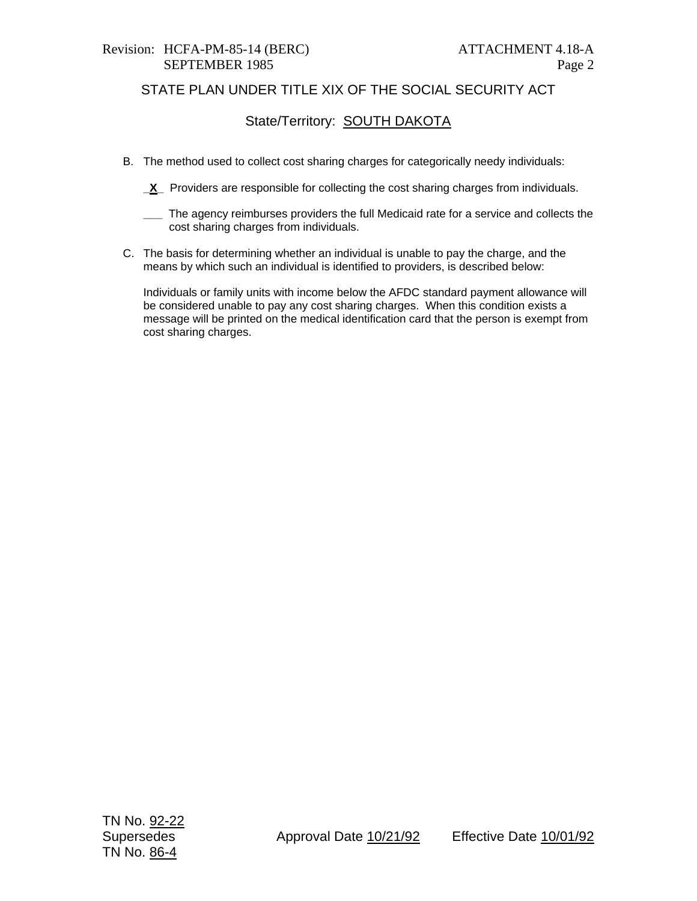#### Revision: HCFA-PM-85-14 (BERC) ATTACHMENT 4.18-A SEPTEMBER 1985 Page 2

# STATE PLAN UNDER TITLE XIX OF THE SOCIAL SECURITY ACT

# State/Territory: **SOUTH DAKOTA**

- B. The method used to collect cost sharing charges for categorically needy individuals:
	- **\_X\_** Providers are responsible for collecting the cost sharing charges from individuals.
	- **\_\_\_** The agency reimburses providers the full Medicaid rate for a service and collects the cost sharing charges from individuals.
- C. The basis for determining whether an individual is unable to pay the charge, and the means by which such an individual is identified to providers, is described below:

Individuals or family units with income below the AFDC standard payment allowance will be considered unable to pay any cost sharing charges. When this condition exists a message will be printed on the medical identification card that the person is exempt from cost sharing charges.